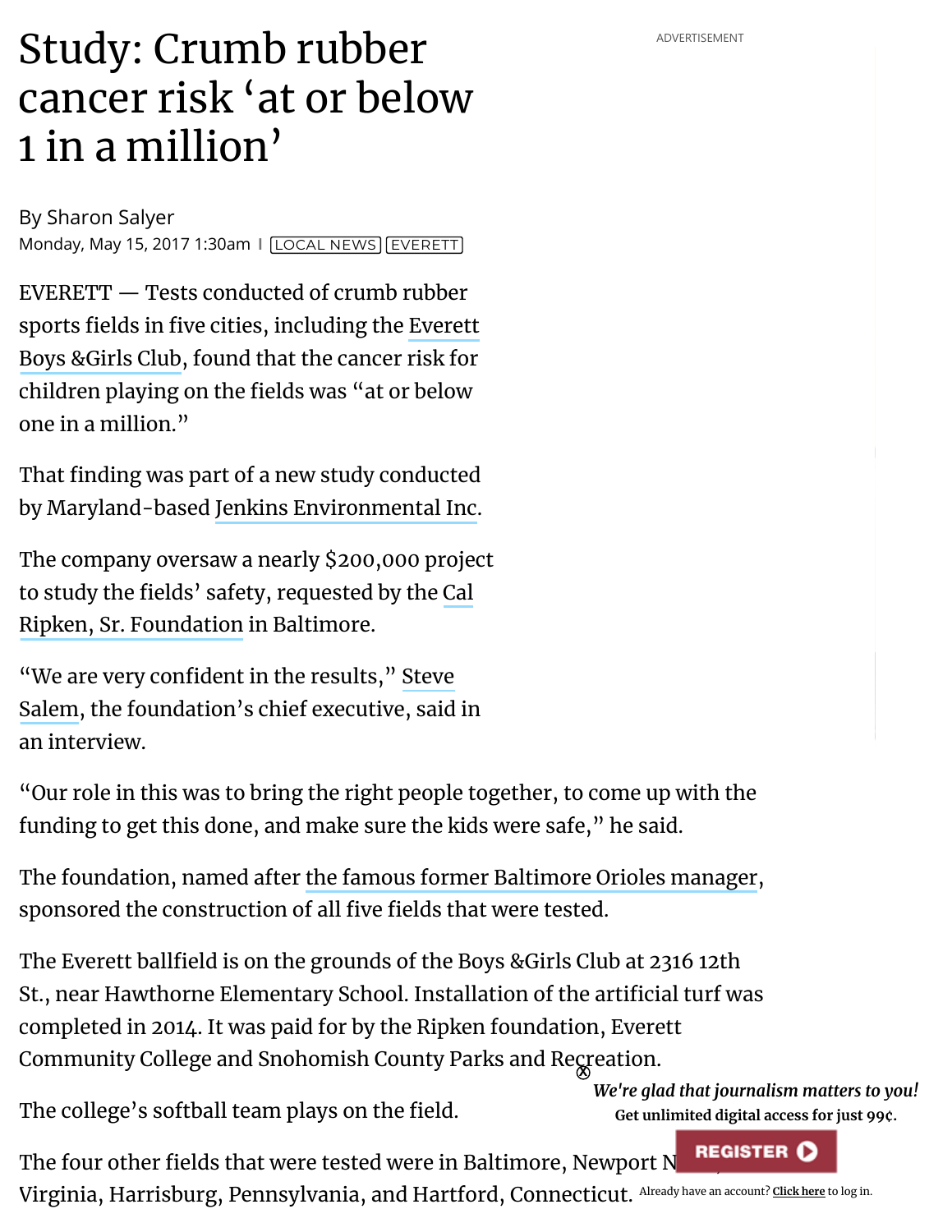## Study: Crumb rubber **cancer advERTISEMENT** cancer risk 'at or below 1 in a million'

By [Sharon Salyer](https://www.heraldnet.com/author/sharon-salyer/) Monday, May 15, 2017 1:30am | [LOCAL](https://www.heraldnet.com/news/) NEWS [EVERETT](https://www.heraldnet.com/tag/everett/)

EVERETT — Tests conducted of crumb rubber sports fields in five cities, [including the](http://bgcsc.org/snohomish-clubs/everett-club/) Everett Boys &Girls Club, found that the cancer risk for children playing on the fields was "at or below one in a million."

That finding was part of a new study conducted by Maryland-based Jenkins [Environmental](http://www.jenkinsenv.com/) Inc.

The company oversaw a nearly \$200,000 project to study the fields' safety, requested by the Cal Ripken, Sr. [Foundation](https://ripkenfoundation.org/about/) in Baltimore.

"We are very confident in the results," Steve  $\,$ Salem, the [foundation's](https://ripkenfoundation.org/memebers/steve-salem/) chief executive, said in an interview.

"Our role in this was to bring the right people together, to come up with the funding to get this done, and make sure the kids were safe, " he said.

The foundation, named after the famous former [Baltimore](https://sabr.org/bioproj/person/4f1fdc5f) Orioles manager, sponsored the construction of all five fields that were tested.

The Everett ballfield is on the grounds of the Boys &Girls Club at 2316 12th St., near Hawthorne Elementary School. Installation of the artificial turf was completed in 2014. It was paid for by the Ripken foundation, Everett Community College and Snohomish County Parks and Re $\operatorname{gr}$ eation.

The college's softball team plays on the field.

*We're glad that journalism matters to you!* **Get unlimited digital access for just 99¢.**

Virginia, Harrisburg, Pennsylvania, and Hartford, Connecticut. <sup>Already have an account? <u>[Click](javascript:newzware_login()) here</u> to log in.</sup> The four other fields that were tested were in Baltimore, Newport N**REGISTER O**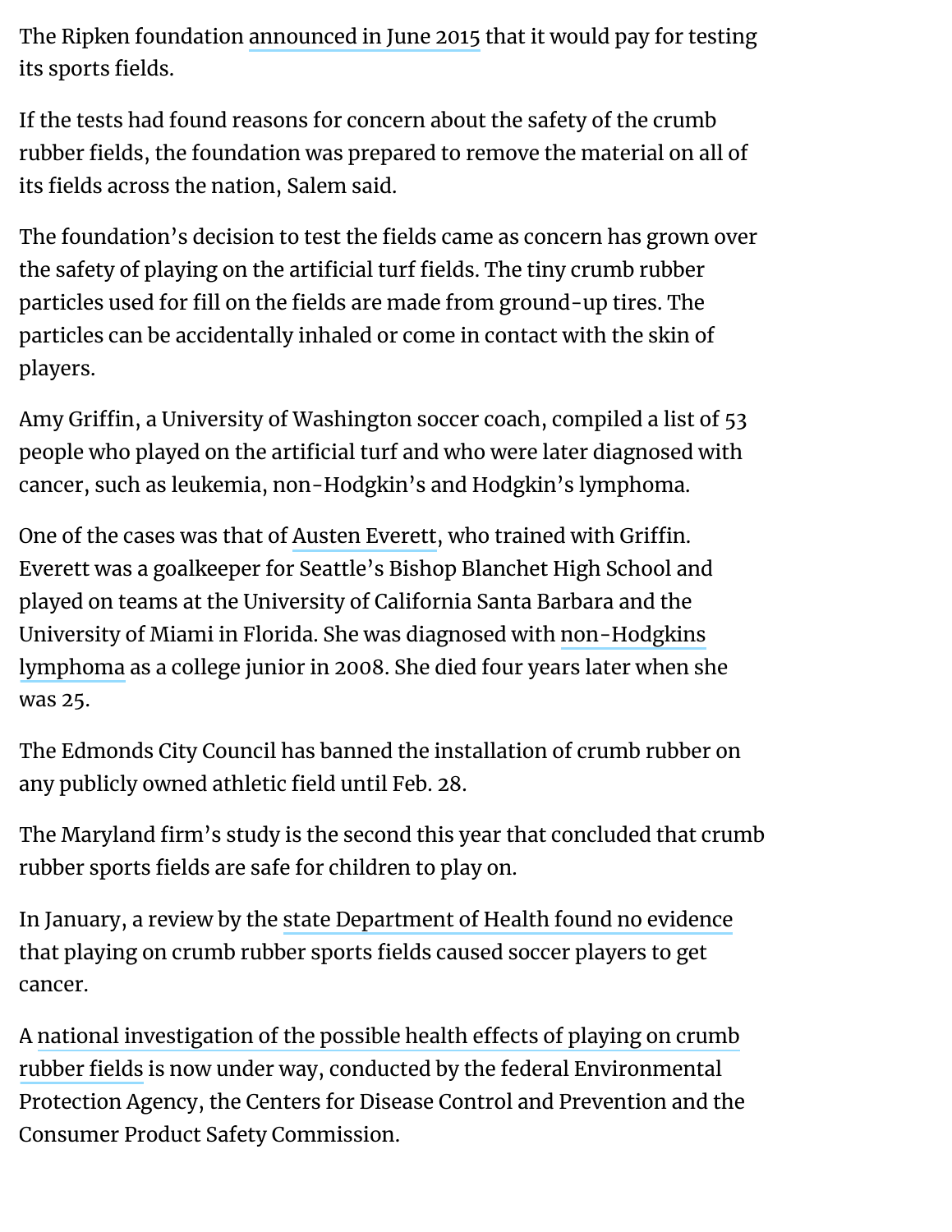The Ripken foundation [announced](http://www.heraldnet.com/news/material-for-everett-boys-girls-club-play-fields-to-be-tested/) in June 2015 that it would pay for testing its sports fields.

If the tests had found reasons for concern about the safety of the crumb rubber fields, the foundation was prepared to remove the material on all of its fields across the nation, Salem said.

The foundation's decision to test the fields came as concern has grown over the safety of playing on the artificial turf fields. The tiny crumb rubber particles used for fill on the fields are made from ground-up tires. The particles can be accidentally inhaled or come in contact with the skin of players.

Amy Griffin, a University of Washington soccer coach, compiled a list of 53 people who played on the artificial turf and who were later diagnosed with cancer, such as leukemia, non-Hodgkin's and Hodgkin's lymphoma.

One of the cases was that of Austen [Everett,](https://www.austeneverettfoundation.org/about/) who trained with Griffin. Everett was a goalkeeper for Seattle's Bishop Blanchet High School and played on teams at the University of California Santa Barbara and the University of Miami in Florida. She was diagnosed with [non-Hodgkins](http://www.mayoclinic.org/diseases-conditions/non-hodgkins-lymphoma/basics/definition/con-20027792) lymphoma as a college junior in 2008. She died four years later when she was 25.

The Edmonds City Council has banned the installation of crumb rubber on any publicly owned athletic field until Feb. 28.

The Maryland firm's study is the second this year that concluded that crumb rubber sports fields are safe for children to play on.

In January, a review by the state [Department](http://www.heraldnet.com/news/state-led-study-finds-no-connection-between-crumb-rubber-cancer/) of Health found no evidence that playing on crumb rubber sports fields caused soccer players to get cancer.

A national investigation of the possible health effects of playing on crumb rubber fields is now under way, conducted by the federal [Environmental](https://www.epa.gov/chemical-research/december-2016-status-report-federal-research-action-plan-recycled-tire-crumb-0) Protection Agency, the Centers for Disease Control and Prevention and the Consumer Product Safety Commission.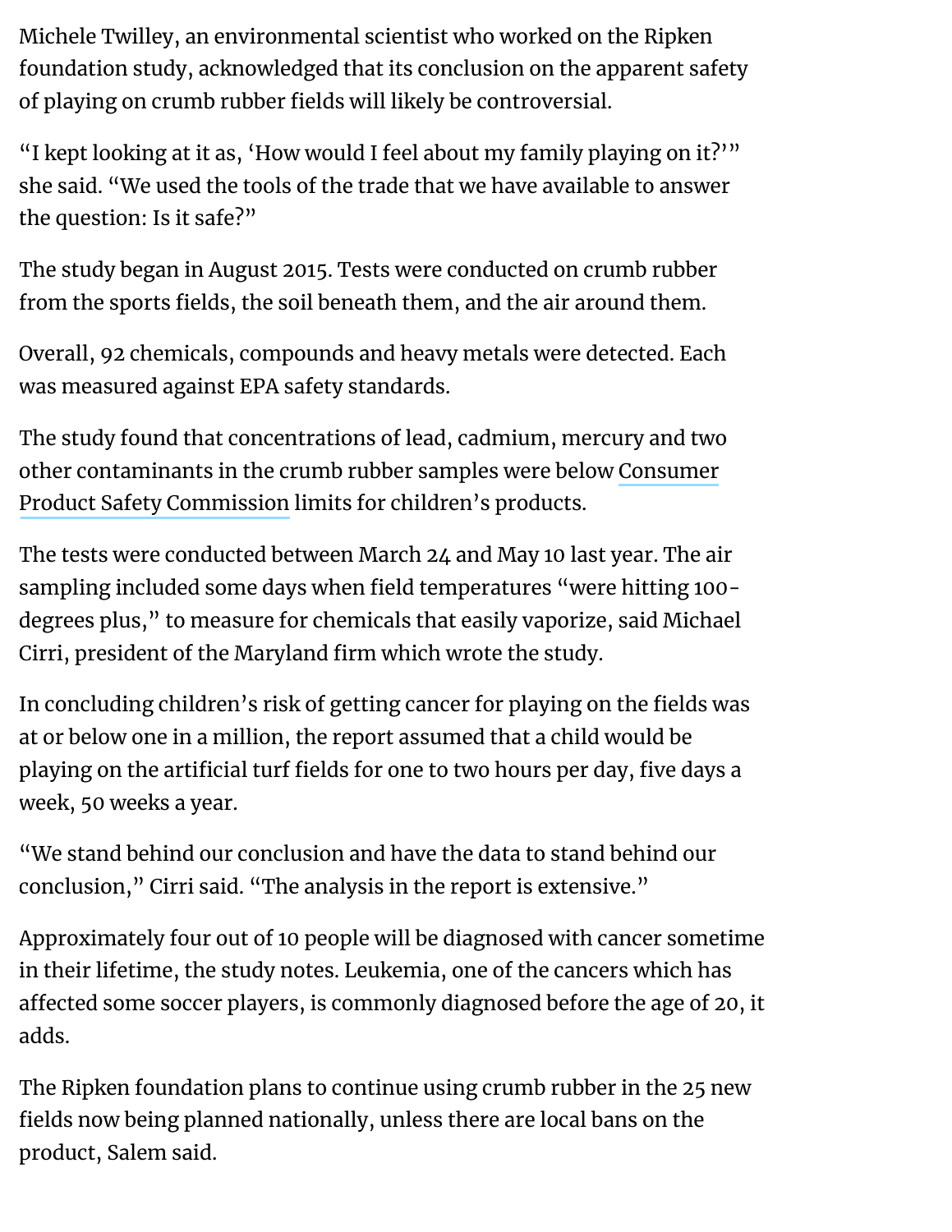Michele Twilley, an environmental scientist who worked on the Ripken foundation study, acknowledged that its conclusion on the apparent safety of playing on crumb rubber fields will likely be controversial.

"I kept looking at it as, 'How would I feel about my family playing on it?'" she said. "We used the tools of the trade that we have available to answer the question: Is it safe?"

The study began in August 2015. Tests were conducted on crumb rubber from the sports fields, the soil beneath them, and the air around them.

Overall, 92 chemicals, compounds and heavy metals were detected. Each was measured against EPA safety standards.

The study found that concentrations of lead, cadmium, mercury and two other contaminants in the crumb rubber samples were [below Consumer](https://www.cpsc.gov/) Product Safety Commission limits for children's products.

The tests were conducted between March 24 and May 10 last year. The air sampling included some days when field temperatures "were hitting 100degrees plus, " to measure for chemicals that easily vaporize, said Michael Cirri, president of the Maryland firm which wrote the study.

In concluding children's risk of getting cancer for playing on the fields was at or below one in a million, the report assumed that a child would be playing on the artificial turf fields for one to two hours per day, five days a week, 50 weeks a year.

"We stand behind our conclusion and have the data to stand behind our conclusion, " Cirri said. "The analysis in the report is extensive."

Approximately four out of 10 people will be diagnosed with cancer sometime in their lifetime, the study notes. Leukemia, one of the cancers which has affected some soccer players, is commonly diagnosed before the age of 20, it adds.

The Ripken foundation plans to continue using crumb rubber in the 25 new fields now being planned nationally, unless there are local bans on the product, Salem said.